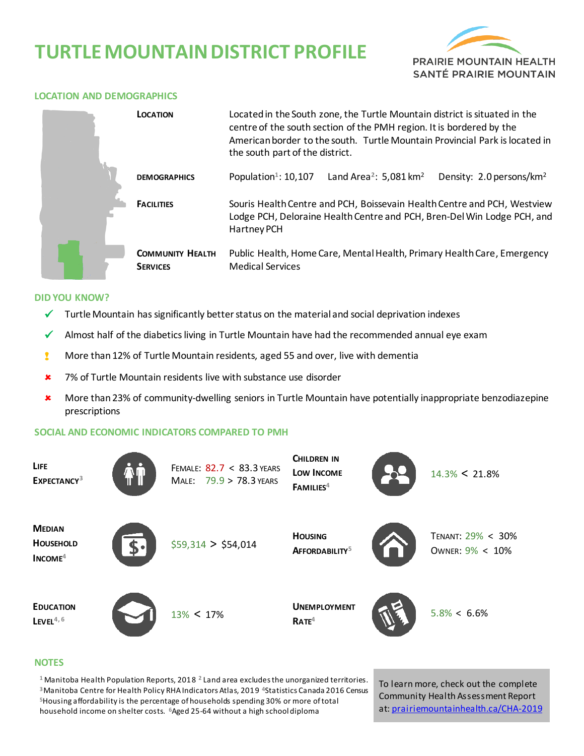# **TURTLE MOUNTAIN DISTRICT PROFILE**



#### **LOCATION AND DEMOGRAPHICS**

| <b>LOCATION</b>                            | Located in the South zone, the Turtle Mountain district is situated in the<br>centre of the south section of the PMH region. It is bordered by the<br>American border to the south. Turtle Mountain Provincial Park is located in<br>the south part of the district. |  |  |  |  |  |  |
|--------------------------------------------|----------------------------------------------------------------------------------------------------------------------------------------------------------------------------------------------------------------------------------------------------------------------|--|--|--|--|--|--|
| <b>DEMOGRAPHICS</b>                        | Population <sup>1</sup> : 10,107<br>Land Area <sup>2</sup> : 5,081 km <sup>2</sup><br>Density: 2.0 persons/km <sup>2</sup>                                                                                                                                           |  |  |  |  |  |  |
| <b>FACILITIES</b>                          | Souris Health Centre and PCH, Boissevain Health Centre and PCH, Westview<br>Lodge PCH, Deloraine Health Centre and PCH, Bren-Del Win Lodge PCH, and<br><b>Hartney PCH</b>                                                                                            |  |  |  |  |  |  |
| <b>COMMUNITY HEALTH</b><br><b>SERVICES</b> | Public Health, Home Care, Mental Health, Primary Health Care, Emergency<br><b>Medical Services</b>                                                                                                                                                                   |  |  |  |  |  |  |

#### **DID YOU KNOW?**

- $\checkmark$  Turtle Mountain has significantly better status on the material and social deprivation indexes
- $\checkmark$  Almost half of the diabetics living in Turtle Mountain have had the recommended annual eye exam
- **I** More than 12% of Turtle Mountain residents, aged 55 and over, live with dementia
- **\*** 7% of Turtle Mountain residents live with substance use disorder
- More than23% of community-dwelling seniors in Turtle Mountain have potentially inappropriate benzodiazepine prescriptions

### **SOCIAL AND ECONOMIC INDICATORS COMPARED TO PMH**

| LIFE<br>EXPECTANCY <sup>3</sup>                |       | FEMALE: 82.7 < 83.3 YEARS<br>MALE: 79.9 > 78.3 YEARS | <b>CHILDREN IN</b><br>LOW INCOME<br>FAMILIES <sup>4</sup> | $14.3\% < 21.8\%$                    |
|------------------------------------------------|-------|------------------------------------------------------|-----------------------------------------------------------|--------------------------------------|
| <b>MEDIAN</b><br><b>HOUSEHOLD</b><br>$INCOME4$ | $S^*$ | \$59,314 > \$54,014                                  | <b>HOUSING</b><br>AFFORDABILITY <sup>5</sup>              | TENANT: 29% < 30%<br>OWNER: 9% < 10% |
| <b>EDUCATION</b><br>$L$ EVEL <sup>4,6</sup>    |       | $13\% < 17\%$                                        | <b>UNEMPLOYMENT</b><br>RATE <sup>4</sup>                  | $5.8\% < 6.6\%$                      |

#### **NOTES**

 Manitoba Health Population Reports, 2018 **<sup>2</sup>**Land area excludes the unorganized territories. Manitoba Centre for Health Policy RHA Indicators Atlas, 2019 **<sup>4</sup>**Statistics Canada 2016 Census Housing affordability is the percentage of households spending 30% or more of total household income on shelter costs. **<sup>6</sup>**Aged 25-64 without a high school diploma

To learn more, check out the complete Community Health Assessment Report at[: prairiemountainhealth.ca/CHA-2019](https://prairiemountainhealth.ca/CHA-2019)